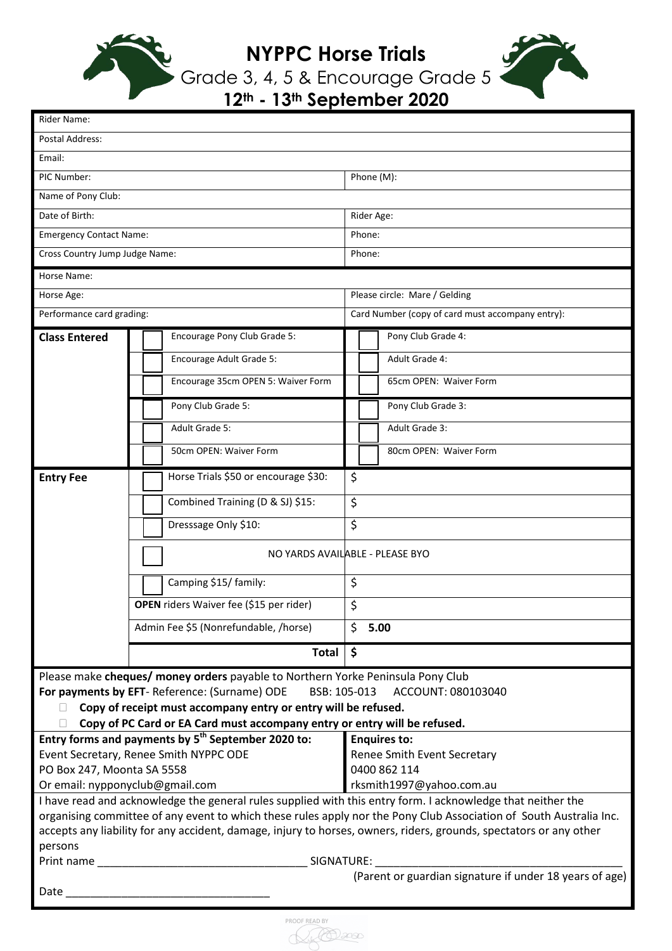

**NYPPC Horse Trials**



Grade 3, 4, 5 & Encourage Grade 5 **12th - 13th September 2020**

| Rider Name:                                                                                                                                 |                                         |            |                                                  |                        |  |
|---------------------------------------------------------------------------------------------------------------------------------------------|-----------------------------------------|------------|--------------------------------------------------|------------------------|--|
| <b>Postal Address:</b>                                                                                                                      |                                         |            |                                                  |                        |  |
| Email:                                                                                                                                      |                                         |            |                                                  |                        |  |
| PIC Number:                                                                                                                                 |                                         |            | Phone (M):                                       |                        |  |
| Name of Pony Club:                                                                                                                          |                                         |            |                                                  |                        |  |
| Date of Birth:                                                                                                                              |                                         | Rider Age: |                                                  |                        |  |
| <b>Emergency Contact Name:</b>                                                                                                              |                                         | Phone:     |                                                  |                        |  |
| Cross Country Jump Judge Name:                                                                                                              |                                         | Phone:     |                                                  |                        |  |
| Horse Name:                                                                                                                                 |                                         |            |                                                  |                        |  |
| Horse Age:                                                                                                                                  |                                         |            | Please circle: Mare / Gelding                    |                        |  |
| Performance card grading:                                                                                                                   |                                         |            | Card Number (copy of card must accompany entry): |                        |  |
| <b>Class Entered</b>                                                                                                                        | Encourage Pony Club Grade 5:            |            |                                                  | Pony Club Grade 4:     |  |
|                                                                                                                                             | Encourage Adult Grade 5:                |            |                                                  | Adult Grade 4:         |  |
|                                                                                                                                             | Encourage 35cm OPEN 5: Waiver Form      |            |                                                  | 65cm OPEN: Waiver Form |  |
|                                                                                                                                             | Pony Club Grade 5:                      |            |                                                  | Pony Club Grade 3:     |  |
|                                                                                                                                             | Adult Grade 5:                          |            |                                                  | Adult Grade 3:         |  |
|                                                                                                                                             |                                         |            |                                                  |                        |  |
|                                                                                                                                             | 50cm OPEN: Waiver Form                  |            |                                                  | 80cm OPEN: Waiver Form |  |
| <b>Entry Fee</b>                                                                                                                            | Horse Trials \$50 or encourage \$30:    | \$         |                                                  |                        |  |
|                                                                                                                                             | Combined Training (D & SJ) \$15:        | $\zeta$    |                                                  |                        |  |
|                                                                                                                                             | Dresssage Only \$10:                    | $\zeta$    |                                                  |                        |  |
| NO YARDS AVAILABLE - PLEASE BYO                                                                                                             |                                         |            |                                                  |                        |  |
|                                                                                                                                             | Camping \$15/ family:                   | \$         |                                                  |                        |  |
|                                                                                                                                             | OPEN riders Waiver fee (\$15 per rider) |            |                                                  |                        |  |
|                                                                                                                                             |                                         | \$         |                                                  |                        |  |
|                                                                                                                                             | Admin Fee \$5 (Nonrefundable, /horse)   | Ś.         |                                                  | 5.00                   |  |
|                                                                                                                                             | <b>Total</b>                            | \$         |                                                  |                        |  |
| Please make cheques/ money orders payable to Northern Yorke Peninsula Pony Club                                                             |                                         |            |                                                  |                        |  |
| For payments by EFT- Reference: (Surname) ODE<br>BSB: 105-013<br>ACCOUNT: 080103040                                                         |                                         |            |                                                  |                        |  |
| Copy of receipt must accompany entry or entry will be refused.<br>Copy of PC Card or EA Card must accompany entry or entry will be refused. |                                         |            |                                                  |                        |  |
| Entry forms and payments by 5 <sup>th</sup> September 2020 to:<br><b>Enquires to:</b>                                                       |                                         |            |                                                  |                        |  |
| Event Secretary, Renee Smith NYPPC ODE                                                                                                      |                                         |            | Renee Smith Event Secretary                      |                        |  |
| PO Box 247, Moonta SA 5558                                                                                                                  |                                         |            | 0400 862 114                                     |                        |  |
| Or email: nypponyclub@gmail.com                                                                                                             |                                         |            | rksmith1997@yahoo.com.au                         |                        |  |
| I have read and acknowledge the general rules supplied with this entry form. I acknowledge that neither the                                 |                                         |            |                                                  |                        |  |
| organising committee of any event to which these rules apply nor the Pony Club Association of South Australia Inc.                          |                                         |            |                                                  |                        |  |
| accepts any liability for any accident, damage, injury to horses, owners, riders, grounds, spectators or any other<br>persons               |                                         |            |                                                  |                        |  |
| Print name<br><b>SIGNATURE:</b>                                                                                                             |                                         |            |                                                  |                        |  |
| (Parent or guardian signature if under 18 years of age)                                                                                     |                                         |            |                                                  |                        |  |
| Date                                                                                                                                        |                                         |            |                                                  |                        |  |